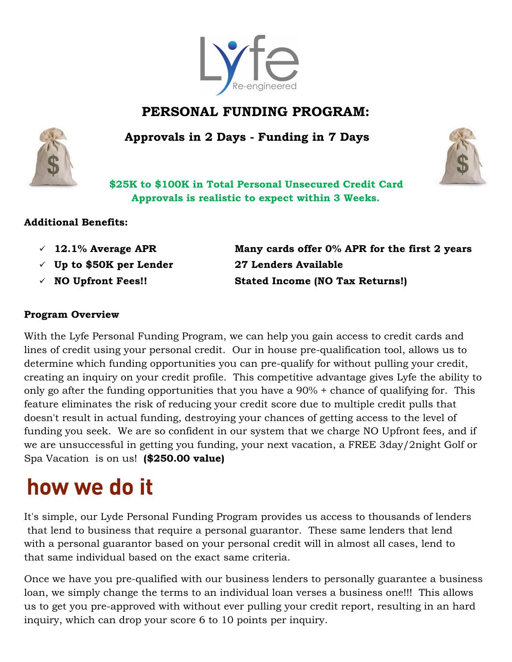

# **PERSONAL FUNDING PROGRAM:**

 **Approvals in 2 Days - Funding in 7 Days**





**\$25K to \$100K in Total Personal Unsecured Credit Card Approvals is realistic to expect within 3 Weeks.**

#### **Additional Benefits:**

- 
- **Up to \$50K per Lender 27 Lenders Available**
- 

 **12.1% Average APR Many cards offer 0% APR for the first 2 years NO Upfront Fees!! Stated Income (NO Tax Returns!)**

#### **Program Overview**

With the Lyfe Personal Funding Program, we can help you gain access to credit cards and lines of credit using your personal credit. Our in house pre-qualification tool, allows us to determine which funding opportunities you can pre-qualify for without pulling your credit, creating an inquiry on your credit profile. This competitive advantage gives Lyfe the ability to only go after the funding opportunities that you have a 90% + chance of qualifying for. This feature eliminates the risk of reducing your credit score due to multiple credit pulls that doesn't result in actual funding, destroying your chances of getting access to the level of funding you seek. We are so confident in our system that we charge NO Upfront fees, and if we are unsuccessful in getting you funding, your next vacation, a FREE 3day/2night Golf or Spa Vacation is on us! **(\$250.00 value)**

# how we do it

It's simple, our Lyde Personal Funding Program provides us access to thousands of lenders that lend to business that require a personal guarantor. These same lenders that lend with a personal guarantor based on your personal credit will in almost all cases, lend to that same individual based on the exact same criteria.

Once we have you pre-qualified with our business lenders to personally guarantee a business loan, we simply change the terms to an individual loan verses a business one!!! This allows us to get you pre-approved with without ever pulling your credit report, resulting in an hard inquiry, which can drop your score 6 to 10 points per inquiry.